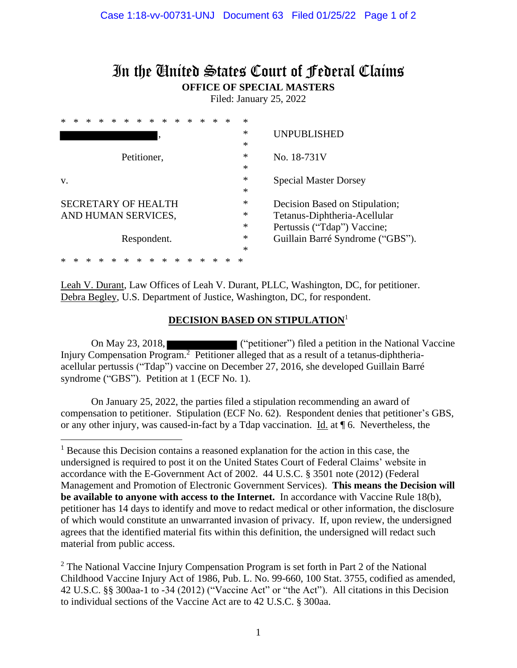# In the United States Court of Federal Claims **OFFICE OF SPECIAL MASTERS**

Filed: January 25, 2022

|    |        |  |  |  |  |  |                            |  |  |  |                                |        |             | *      |                                  |
|----|--------|--|--|--|--|--|----------------------------|--|--|--|--------------------------------|--------|-------------|--------|----------------------------------|
|    |        |  |  |  |  |  |                            |  |  |  |                                |        |             | $\ast$ | UNPUBLISHED                      |
|    |        |  |  |  |  |  |                            |  |  |  |                                |        |             | $\ast$ |                                  |
|    |        |  |  |  |  |  | Petitioner,                |  |  |  |                                | $\ast$ | No. 18-731V |        |                                  |
|    |        |  |  |  |  |  |                            |  |  |  |                                |        | $\ast$      |        |                                  |
| V. |        |  |  |  |  |  |                            |  |  |  |                                |        |             | *      | <b>Special Master Dorsey</b>     |
|    |        |  |  |  |  |  |                            |  |  |  |                                |        |             | $\ast$ |                                  |
|    |        |  |  |  |  |  | <b>SECRETARY OF HEALTH</b> |  |  |  | Decision Based on Stipulation; |        |             |        |                                  |
|    |        |  |  |  |  |  | AND HUMAN SERVICES,        |  |  |  | Tetanus-Diphtheria-Acellular   |        |             |        |                                  |
|    | $\ast$ |  |  |  |  |  |                            |  |  |  |                                |        |             |        | Pertussis ("Tdap") Vaccine;      |
|    |        |  |  |  |  |  | Respondent.                |  |  |  |                                |        |             | ∗      | Guillain Barré Syndrome ("GBS"). |
|    |        |  |  |  |  |  |                            |  |  |  |                                |        |             | $\ast$ |                                  |
|    |        |  |  |  |  |  |                            |  |  |  |                                |        |             | ∗      |                                  |

Leah V. Durant, Law Offices of Leah V. Durant, PLLC, Washington, DC, for petitioner. Debra Begley, U.S. Department of Justice, Washington, DC, for respondent.

#### **DECISION BASED ON STIPULATION**<sup>1</sup>

On May 23, 2018, ("petitioner") filed a petition in the National Vaccine Injury Compensation Program.<sup>2</sup> Petitioner alleged that as a result of a tetanus-diphtheriaacellular pertussis ("Tdap") vaccine on December 27, 2016, she developed Guillain Barré syndrome ("GBS"). Petition at 1 (ECF No. 1).

On January 25, 2022, the parties filed a stipulation recommending an award of compensation to petitioner. Stipulation (ECF No. 62). Respondent denies that petitioner's GBS, or any other injury, was caused-in-fact by a Tdap vaccination. Id. at  $\P$  6. Nevertheless, the

<sup>&</sup>lt;sup>1</sup> Because this Decision contains a reasoned explanation for the action in this case, the undersigned is required to post it on the United States Court of Federal Claims' website in accordance with the E-Government Act of 2002. 44 U.S.C. § 3501 note (2012) (Federal Management and Promotion of Electronic Government Services). **This means the Decision will be available to anyone with access to the Internet.** In accordance with Vaccine Rule 18(b), petitioner has 14 days to identify and move to redact medical or other information, the disclosure of which would constitute an unwarranted invasion of privacy. If, upon review, the undersigned agrees that the identified material fits within this definition, the undersigned will redact such material from public access.

 $2$  The National Vaccine Injury Compensation Program is set forth in Part 2 of the National Childhood Vaccine Injury Act of 1986, Pub. L. No. 99-660, 100 Stat. 3755, codified as amended, 42 U.S.C. §§ 300aa-1 to -34 (2012) ("Vaccine Act" or "the Act"). All citations in this Decision to individual sections of the Vaccine Act are to 42 U.S.C. § 300aa.